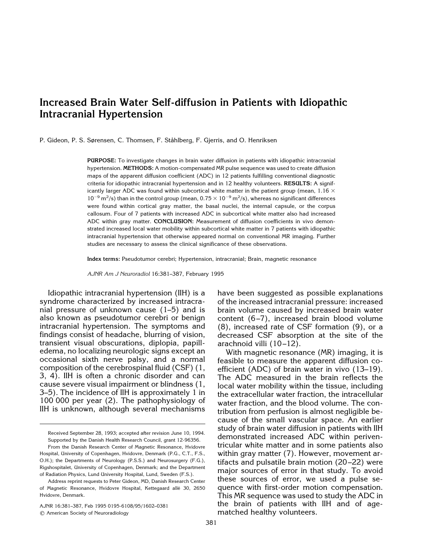# **Increased Brain Water Self-diffusion in Patients with Idiopathic Intracranial Hypertension**

P. Gideon, P. S. Sørensen, C. Thomsen, F. Ståhlberg, F. Gjerris, and O. Henriksen

**PURPOSE:** To investigate changes in brain water diffusion in patients with idiopathic intracranial hypertension. **METHODS:** A motion-compensated MR pulse sequence was used to create diffusion maps of the apparent diffusion coefficient (ADC) in 12 patients fulfilling conventional diagnostic criteria for idiopathic intracranial hypertension and in 12 healthy volunteers. **RESULTS:** A significantly larger ADC was found within subcortical white matter in the patient group (mean,  $1.16 \times$  $10^{-9}$  m<sup>2</sup>/s) than in the control group (mean, 0.75  $\times$  10<sup>-9</sup> m<sup>2</sup>/s), whereas no significant differences were found within cortical gray matter, the basal nuclei, the internal capsule, or the corpus callosum. Four of 7 patients with increased ADC in subcortical white matter also had increased ADC within gray matter. **CONCLUSION:** Measurement of diffusion coefficients in vivo demonstrated increased local water mobility within subcortical white matter in 7 patients with idiopathic intracranial hypertension that otherwise appeared normal on conventional MR imaging. Further studies are necessary to assess the clinical significance of these observations.

**Index terms:** Pseudotumor cerebri; Hypertension, intracranial; Brain, magnetic resonance

*AJNR Am J Neuroradiol* 16:381–387, February 1995

Idiopathic intracranial hypertension (IIH) is a syndrome characterized by increased intracranial pressure of unknown cause (1–5) and is also known as pseudotumor cerebri or benign intracranial hypertension. The symptoms and findings consist of headache, blurring of vision, transient visual obscurations, diplopia, papilledema, no localizing neurologic signs except an occasional sixth nerve palsy, and a normal composition of the cerebrospinal fluid (CSF) (1, 3, 4). IIH is often a chronic disorder and can cause severe visual impairment or blindness (1, 3–5). The incidence of IIH is approximately 1 in 100 000 per year (2). The pathophysiology of IIH is unknown, although several mechanisms have been suggested as possible explanations of the increased intracranial pressure: increased brain volume caused by increased brain water content (6 –7), increased brain blood volume (8), increased rate of CSF formation (9), or a decreased CSF absorption at the site of the arachnoid villi (10 –12).

With magnetic resonance (MR) imaging, it is feasible to measure the apparent diffusion coefficient (ADC) of brain water in vivo (13–19). The ADC measured in the brain reflects the local water mobility within the tissue, including the extracellular water fraction, the intracellular water fraction, and the blood volume. The contribution from perfusion is almost negligible because of the small vascular space. An earlier study of brain water diffusion in patients with IIH demonstrated increased ADC within periventricular white matter and in some patients also within gray matter (7). However, movement artifacts and pulsatile brain motion (20 –22) were major sources of error in that study. To avoid these sources of error, we used a pulse sequence with first-order motion compensation. This MR sequence was used to study the ADC in the brain of patients with IIH and of agematched healthy volunteers.

Received September 28, 1993; accepted after revision June 10, 1994. Supported by the Danish Health Research Council, grant 12-96356.

From the Danish Research Center of Magnetic Resonance, Hvidovre Hospital, University of Copenhagen, Hvidovre, Denmark (P.G., C.T., F.S., O.H.); the Departments of Neurology (P.S.S.) and Neurosurgery (F.G.), Rigshospitalet, University of Copenhagen, Denmark; and the Department of Radiation Physics, Lund University Hospital, Lund, Sweden (F.S.).

Address reprint requests to Peter Gideon, MD, Danish Research Center of Magnetic Resonance, Hvidovre Hospital, Kettegaard allé 30, 2650 Hvidovre, Denmark.

AJNR 16:381–387, Feb 1995 0195-6108/95/1602–0381 q American Society of Neuroradiology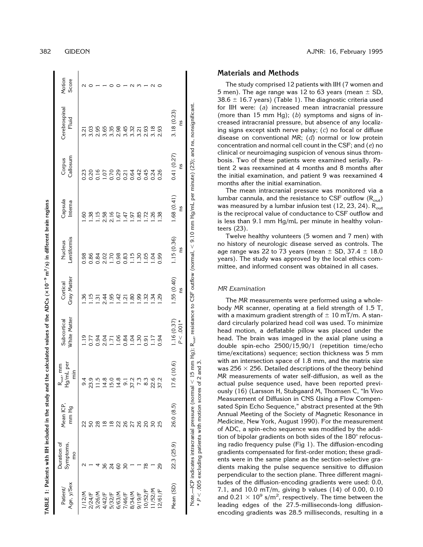|                        |                                                       |                    | TABLE 1: Patients with IIH included in the study and the calculated values of the ADCs ( $\times$ 10 <sup>-9</sup> m <sup>2</sup> /s) in different brain regions                                                    |                             |                         |                        |                    |                    |                                                 |                 |
|------------------------|-------------------------------------------------------|--------------------|---------------------------------------------------------------------------------------------------------------------------------------------------------------------------------------------------------------------|-----------------------------|-------------------------|------------------------|--------------------|--------------------|-------------------------------------------------|-----------------|
| Age, y/Sex<br>Patient/ | Duration of<br>Symptoms,<br>ξ                         | Mean ICP,<br>mm Hg | mL per<br>$R_{\rm out},$ mm<br>min<br>Чā                                                                                                                                                                            | White Matter<br>Subcortical | Gray Matter<br>Cortical | Lentiformis<br>Nucleus | Capsula<br>Interna | Callosum<br>Corpus | Cerebrospinal<br>Fluid                          | Motion<br>Score |
| /12/M                  |                                                       |                    | š                                                                                                                                                                                                                   | $\frac{19}{1}$              | $\ddot{56}$             | 0.98                   | <b>GO</b>          | 0.23               | 3.21                                            |                 |
| 2/24/F                 |                                                       |                    | 23.i                                                                                                                                                                                                                | 0.77                        | 1.15                    | 0.86                   | 1.38               | 0.20               | 3.03                                            |                 |
| 3/26/M                 |                                                       | 28                 | $\Xi$                                                                                                                                                                                                               | 0.94                        | 1.31                    | 0.84                   | 1.15               | 0.16               | 2.95                                            |                 |
| 4/42/F                 | 36                                                    | $\overline{8}$     | $\frac{3}{4}$                                                                                                                                                                                                       | 2.04                        | 2.44                    | 2.02                   | 2.58               | 1.07               | 3.65                                            |                 |
| 5/32/F                 | 24                                                    | $\infty$           | $\overline{5}$                                                                                                                                                                                                      | 1.71                        | 1.95                    | 1.70                   | 2.16               | 0.70               |                                                 |                 |
| 6/63/M                 | 8                                                     | 22                 | 14.5                                                                                                                                                                                                                | 1.06                        | 1.42                    | 0.98                   | 1.67               | 0.29               |                                                 |                 |
| 7/46/F                 |                                                       | 26                 | $\ddot{\circ}$                                                                                                                                                                                                      | 0.84                        | 1.21                    | 0.83                   | 1.47               | 0.21               |                                                 |                 |
| 8/34/M                 |                                                       | 27<br>26           | 37.2                                                                                                                                                                                                                | 1.04                        | 1.80                    | 1.15                   | 1.97               | 0.64               |                                                 |                 |
| 9/19/F                 |                                                       |                    | 7.3                                                                                                                                                                                                                 | 1.30                        | 1.99                    | 1.30                   | 1.85               | 0.42               |                                                 |                 |
| 10/52/F                | ల్గ                                                   | $\overline{c}$     | $\frac{3}{8}$                                                                                                                                                                                                       | 0.91                        | 1.32                    | 1.05                   | 1.72               | 0.45               | n 8 5 6 7 7 8<br>6 8 7 8 7 8 9<br>6 8 7 8 9 8 9 |                 |
| 1/52/M                 |                                                       | 30                 | $\frac{8}{22}$                                                                                                                                                                                                      | 1.17                        | 1.34                    | 1.04                   | <b>1.26</b>        | 0.24               |                                                 |                 |
| 12/61/F                | 29                                                    | 25                 | 37.2                                                                                                                                                                                                                | 0.94                        | 1.29                    | 0.99                   | 38                 | 0.26               | 2.93                                            |                 |
| Mean (SD)              | 22.3 (25.9)                                           | 26.0 (8.5)         | (10.6)<br>17.6                                                                                                                                                                                                      | 1.16(0.37)<br>$P < .001*$   | 1.55 (0.40)<br>ns       | 1.15 (0.36)<br>ns      | 1.68(0.41)<br>ns   | 0.41(0.27)<br>ns   | 3.18(0.23)<br>ns                                |                 |
|                        | $* P < .005$ excluding patients with motion scores of |                    | Note.—ICP indicates intracranial pressure (normal < 15 mm Hg); R <sub>out</sub> , resistance to CSF outflow (normal, < 9.10 mm Hg/mL per minute) (23); and ns, nonsignificant.<br>and 3.<br>$\overline{\mathsf{N}}$ |                             |                         |                        |                    |                    |                                                 |                 |

#### **Materials and Methods**

The study comprised 12 patients with IIH (7 women and 5 men). The age range was 12 to 63 years (mean  $\pm$  SD, 38.6  $\pm$  16.7 years) (Table 1). The diagnostic criteria used for IIH were: (*a*) increased mean intracranial pressure (more than 15 mm Hg); (*b*) symptoms and signs of increased intracranial pressure, but absence of any localizing signs except sixth nerve palsy; (*c*) no focal or diffuse disease on conventional MR; (*d*) normal or low protein concentration and normal cell count in the CSF; and (*e*) no clinical or neuroimaging suspicion of venous sinus thrombosis. Two of these patients were examined serially. Patient 2 was reexamined at 4 months and 8 months after the initial examination, and patient 9 was reexamined 4 months after the initial examination.

The mean intracranial pressure was monitored via a lumbar cannula, and the resistance to CSF outflow  $(R<sub>out</sub>)$ was measured by a lumbar infusion test (12, 23, 24).  $R_{out}$ is the reciprocal value of conductance to CSF outflow and is less than 9.1 mm Hg/mL per minute in healthy volunteers (23).

Twelve healthy volunteers (5 women and 7 men) with no history of neurologic disease served as controls. The age range was 22 to 73 years (mean  $\pm$  SD, 37.4  $\pm$  18.0 years). The study was approved by the local ethics committee, and informed consent was obtained in all cases.

### *MR Examination*

The MR measurements were performed using a wholebody MR scanner, operating at a field strength of 1.5 T, with a maximum gradient strength of  $\pm 10$  mT/m. A standard circularly polarized head coil was used. To minimize head motion, a deflatable pillow was placed under the head. The brain was imaged in the axial plane using a double spin-echo 2500/15,90/1 (repetition time/echo time/excitations) sequence; section thickness was 5 mm with an intersection space of 1.8 mm, and the matrix size was 256  $\times$  256. Detailed descriptions of the theory behind MR measurements of water self-diffusion, as well as the actual pulse sequence used, have been reported previously (16) (Larsson H, Stubgaard M, Thomsen C, "In Vivo Measurement of Diffusion in CNS Using a Flow Compensated Spin Echo Sequence," abstract presented at the 9th Annual Meeting of the Society of Magnetic Resonance in Medicine, New York, August 1990). For the measurement of ADC, a spin-echo sequence was modified by the addition of bipolar gradients on both sides of the 180° refocusing radio frequency pulse (Fig 1). The diffusion-encoding gradients compensated for first-order motion; these gradients were in the same plane as the section-selective gradients making the pulse sequence sensitive to diffusion perpendicular to the section plane. Three different magnitudes of the diffusion-encoding gradients were used: 0.0, 7.1, and 10.0 mT/m, giving b values (14) of 0.00, 0.10 and  $0.21 \times 10^9$  s/m<sup>2</sup>, respectively. The time between the leading edges of the 27.5-milliseconds-long diffusionencoding gradients was 28.5 milliseconds, resulting in a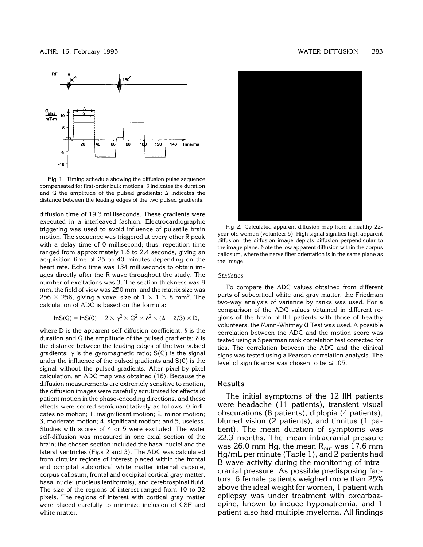

Fig 1. Timing schedule showing the diffusion pulse sequence compensated for first-order bulk motions.  $\delta$  indicates the duration and G the amplitude of the pulsed gradients;  $\Delta$  indicates the distance between the leading edges of the two pulsed gradients.

diffusion time of 19.3 milliseconds. These gradients were executed in a interleaved fashion. Electrocardiographic triggering was used to avoid influence of pulsatile brain motion. The sequence was triggered at every other R peak with a delay time of 0 millisecond; thus, repetition time ranged from approximately 1.6 to 2.4 seconds, giving an acquisition time of 25 to 40 minutes depending on the heart rate. Echo time was 134 milliseconds to obtain images directly after the R wave throughout the study. The number of excitations was 3. The section thickness was 8 mm, the field of view was 250 mm, and the matrix size was 256  $\times$  256, giving a voxel size of  $1 \times 1 \times 8$  mm<sup>3</sup>. The calculation of ADC is based on the formula:

$$
lnS(G) = lnS(0) - 2 \times \gamma^2 \times G^2 \times \delta^2 \times (\Delta - \delta/3) \times D,
$$

where D is the apparent self-diffusion coefficient;  $\delta$  is the duration and G the amplitude of the pulsed gradients;  $\delta$  is the distance between the leading edges of the two pulsed gradients;  $\gamma$  is the gyromagnetic ratio; S(G) is the signal under the influence of the pulsed gradients and S(0) is the signal without the pulsed gradients. After pixel-by-pixel calculation, an ADC map was obtained (16). Because the diffusion measurements are extremely sensitive to motion, the diffusion images were carefully scrutinized for effects of patient motion in the phase-encoding directions, and these effects were scored semiquantitatively as follows: 0 indicates no motion; 1, insignificant motion; 2, minor motion; 3, moderate motion; 4, significant motion; and 5, useless. Studies with scores of 4 or 5 were excluded. The water self-diffusion was measured in one axial section of the brain; the chosen section included the basal nuclei and the lateral ventricles (Figs 2 and 3). The ADC was calculated from circular regions of interest placed within the frontal and occipital subcortical white matter internal capsule, corpus callosum, frontal and occipital cortical gray matter, basal nuclei (nucleus lentiformis), and cerebrospinal fluid. The size of the regions of interest ranged from 10 to 32 pixels. The regions of interest with cortical gray matter were placed carefully to minimize inclusion of CSF and white matter.



Fig 2. Calculated apparent diffusion map from a healthy 22 year-old woman (volunteer 6). High signal signifies high apparent diffusion; the diffusion image depicts diffusion perpendicular to [the image plane. Note the low apparent diffusion within the corpus](#page-7-0) callosum, where the nerve fiber orientation is in the same plane as the image.

#### *Statistics*

To compare the ADC values obtained from different parts of subcortical white and gray matter, the Friedman two-way analysis of variance by ranks was used. For a comparison of the ADC values obtained in different regions of the brain of IIH patients with those of healthy volunteers, the Mann-Whitney U Test was used. A possible correlation between the ADC and the motion score was tested using a Spearman rank correlation test corrected for ties. The correlation between the ADC and the clinical signs was tested using a Pearson correlation analysis. The level of significance was chosen to be  $\leq$  .05.

## **Results**

The initial symptoms of the 12 IIH patients were headache (11 patients), transient visual obscurations (8 patients), diplopia (4 patients), blurred vision (2 patients), and tinnitus (1 patient). The mean duration of symptoms was 22.3 months. The mean intracranial pressure was 26.0 mm Hg, the mean  $R_{out}$  was 17.6 mm Hg/mL per minute (Table 1), and 2 patients had B wave activity during the monitoring of intracranial pressure. As possible predisposing factors, 6 female patients weighed more than 25% above the ideal weight for women, 1 patient with epilepsy was under treatment with oxcarbazepine, known to induce hyponatremia, and 1 patient also had multiple myeloma. All findings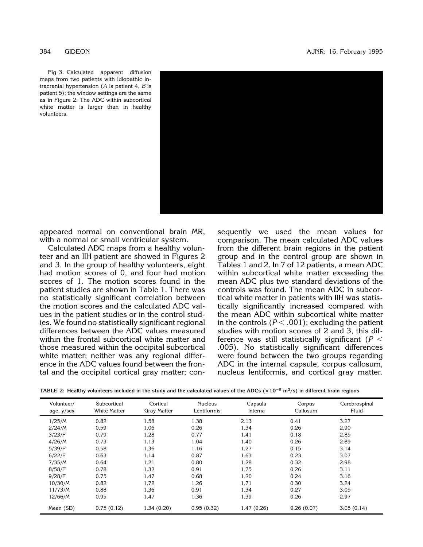Fig 3. Calculated apparent diffusion maps from two patients with idiopathic intracranial hypertension (*A* is patient 4, *B* is patient 5); the window settings are the same [as in Figure 2. The ADC within subcortical](#page-8-0) white matter is larger than in healthy volunteers.



appeared normal on conventional brain MR, with a normal or small ventricular system.

Calculated ADC maps from a healthy volunteer and an IIH patient are showed in Figures 2 and 3. In the group of healthy volunteers, eight had motion scores of 0, and four had motion scores of 1. The motion scores found in the patient studies are shown in Table 1. There was no statistically significant correlation between the motion scores and the calculated ADC values in the patient studies or in the control studies. We found no statistically significant regional differences between the ADC values measured within the frontal subcortical white matter and those measured within the occipital subcortical white matter; neither was any regional difference in the ADC values found between the frontal and the occipital cortical gray matter; consequently we used the mean values for comparison. The mean calculated ADC values from the different brain regions in the patient group and in the control group are shown in Tables 1 and 2. In 7 of 12 patients, a mean ADC within subcortical white matter exceeding the mean ADC plus two standard deviations of the controls was found. The mean ADC in subcortical white matter in patients with IIH was statistically significantly increased compared with the mean ADC within subcortical white matter in the controls  $(P < .001)$ ; excluding the patient studies with motion scores of 2 and 3, this difference was still statistically significant ( $P <$ .005). No statistically significant differences were found between the two groups regarding ADC in the internal capsule, corpus callosum, nucleus lentiformis, and cortical gray matter.

| Volunteer/<br>age, y/sex | Subcortical<br>White Matter | Cortical<br>Gray Matter | <b>Nucleus</b><br>Lentiformis | Capsula<br>Interna | Corpus<br>Callosum | Cerebrospinal<br>Fluid |
|--------------------------|-----------------------------|-------------------------|-------------------------------|--------------------|--------------------|------------------------|
| 1/25/M                   | 0.82                        | 1.58                    | 1.38                          | 2.13               | 0.41               | 3.27                   |
| 2/24/M                   | 0.59                        | 1.06                    | 0.26                          | 1.34               | 0.26               | 2.90                   |
| 3/23/F                   | 0.79                        | 1.28                    | 0.77                          | 1.41               | 0.18               | 2.85                   |
| 4/26/M                   | 0.73                        | 1.13                    | 1.04                          | 1.40               | 0.26               | 2.89                   |
| 5/39/F                   | 0.58                        | 1.36                    | 1.16                          | 1.27               | 0.15               | 3.14                   |
| 6/22/F                   | 0.63                        | 1.14                    | 0.87                          | 1.63               | 0.23               | 3.07                   |
| 7/35/M                   | 0.64                        | 1.21                    | 0.80                          | 1.28               | 0.32               | 2.98                   |
| 8/58/F                   | 0.78                        | 1.32                    | 0.91                          | 1.75               | 0.26               | 3.11                   |
| 9/28/F                   | 0.75                        | 1.47                    | 0.68                          | 1.20               | 0.24               | 3.16                   |
| 10/30/M                  | 0.82                        | 1.72                    | 1.26                          | 1.71               | 0.30               | 3.24                   |
| 11/73/M                  | 0.88                        | 1.36                    | 0.91                          | 1.34               | 0.27               | 3.05                   |
| 12/66/M                  | 0.95                        | 1.47                    | 1.36                          | 1.39               | 0.26               | 2.97                   |
| Mean (SD)                | 0.75(0.12)                  | 1.34(0.20)              | 0.95(0.32)                    | 1.47(0.26)         | 0.26(0.07)         | 3.05(0.14)             |

**TABLE 2: Healthy volunteers included in the study and the calculated values of the ADCs (**3**10**2**<sup>9</sup> m<sup>2</sup> /s) in different brain regions**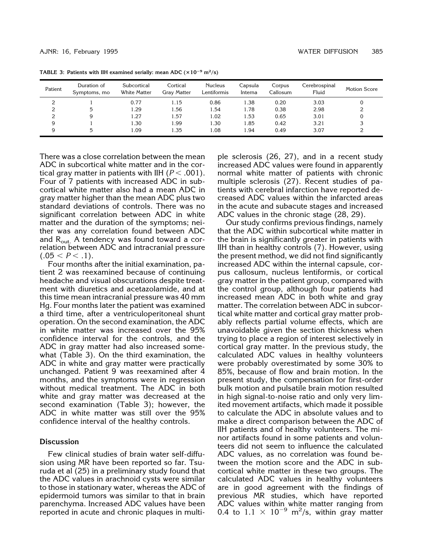| Patient | Duration of<br>Symptoms, mo | Subcortical<br>White Matter | Cortical<br>Gray Matter | Nucleus<br>Lentiformis | Capsula<br>Interna | Corpus<br>Callosum | Cerebrospinal<br>Fluid | Motion Score |
|---------|-----------------------------|-----------------------------|-------------------------|------------------------|--------------------|--------------------|------------------------|--------------|
|         |                             | 0.77                        | 1.15                    | 0.86                   | 1.38               | 0.20               | 3.03                   |              |
| っ       | 5                           | 1.29                        | l.56                    | 1.54                   | 1.78               | 0.38               | 2.98                   |              |
|         |                             | 1.27                        | 1.57                    | 1.02                   | 1.53               | 0.65               | 3.01                   |              |
| 9       |                             | 1.30                        | l.99                    | 1.30                   | 1.85               | 0.42               | 3.21                   |              |
| 9       |                             | 1.09                        | 1.35                    | 1.08                   | 1.94               | 0.49               | 3.07                   |              |

**TABLE 3: Patients with IIH examined serially: mean ADC (** $\times 10^{-9}$  **m<sup>2</sup>/s)** 

There was a close correlation between the mean ADC in subcortical white matter and in the cortical gray matter in patients with IIH  $(P < .001)$ . Four of 7 patients with increased ADC in subcortical white matter also had a mean ADC in gray matter higher than the mean ADC plus two standard deviations of controls. There was no significant correlation between ADC in white matter and the duration of the symptoms; neither was any correlation found between ADC and  $R_{\text{out}}$ . A tendency was found toward a correlation between ADC and intracranial pressure  $(.05 < P < .1).$ 

Four months after the initial examination, patient 2 was reexamined because of continuing headache and visual obscurations despite treatment with diuretics and acetazolamide, and at this time mean intracranial pressure was 40 mm Hg. Four months later the patient was examined a third time, after a ventriculoperitoneal shunt operation. On the second examination, the ADC in white matter was increased over the 95% confidence interval for the controls, and the ADC in gray matter had also increased somewhat (Table 3). On the third examination, the ADC in white and gray matter were practically unchanged. Patient 9 was reexamined after 4 months, and the symptoms were in regression without medical treatment. The ADC in both white and gray matter was decreased at the second examination (Table 3); however, the ADC in white matter was still over the 95% confidence interval of the healthy controls.

## **Discussion**

Few clinical studies of brain water self-diffusion using MR have been reported so far. Tsuruda et al (25) in a preliminary study found that the ADC values in arachnoid cysts were similar to those in stationary water, whereas the ADC of epidermoid tumors was similar to that in brain parenchyma. Increased ADC values have been reported in acute and chronic plaques in multiple sclerosis (26, 27), and in a recent study increased ADC values were found in apparently normal white matter of patients with chronic multiple sclerosis (27). Recent studies of patients with cerebral infarction have reported decreased ADC values within the infarcted areas in the acute and subacute stages and increased ADC values in the chronic stage (28, 29).

Our study confirms previous findings, namely that the ADC within subcortical white matter in the brain is significantly greater in patients with IIH than in healthy controls (7). However, using the present method, we did not find significantly increased ADC within the internal capsule, corpus callosum, nucleus lentiformis, or cortical gray matter in the patient group, compared with the control group, although four patients had increased mean ADC in both white and gray matter. The correlation between ADC in subcortical white matter and cortical gray matter probably reflects partial volume effects, which are unavoidable given the section thickness when trying to place a region of interest selectively in cortical gray matter. In the previous study, the calculated ADC values in healthy volunteers were probably overestimated by some 30% to 85%, because of flow and brain motion. In the present study, the compensation for first-order bulk motion and pulsatile brain motion resulted in high signal-to-noise ratio and only very limited movement artifacts, which made it possible to calculate the ADC in absolute values and to make a direct comparison between the ADC of IIH patients and of healthy volunteers. The minor artifacts found in some patients and volunteers did not seem to influence the calculated ADC values, as no correlation was found between the motion score and the ADC in subcortical white matter in these two groups. The calculated ADC values in healthy volunteers are in good agreement with the findings of previous MR studies, which have reported ADC values within white matter ranging from 0.4 to  $1.1 \times 10^{-9}$  m<sup>2</sup>/s, within gray matter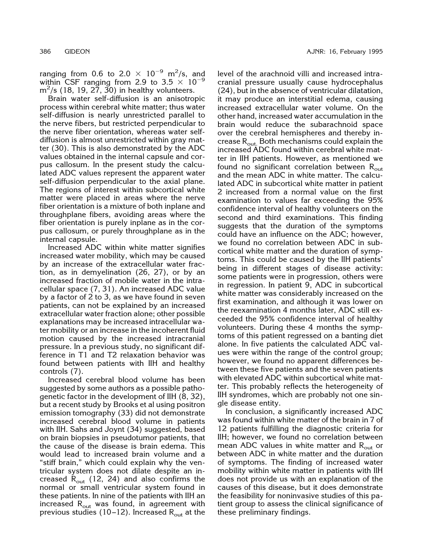ranging from 0.6 to 2.0  $\times$   $10^{-9}$  m<sup>2</sup>/s, and within CSF ranging from 2.9 to 3.5  $\times$  10<sup>-9</sup>  $\text{m}^2\text{/s}$  (18, 19, 27, 30) in healthy volunteers.

Brain water self-diffusion is an anisotropic process within cerebral white matter; thus water self-diffusion is nearly unrestricted parallel to the nerve fibers, but restricted perpendicular to the nerve fiber orientation, whereas water selfdiffusion is almost unrestricted within gray matter (30). This is also demonstrated by the ADC values obtained in the internal capsule and corpus callosum. In the present study the calculated ADC values represent the apparent water self-diffusion perpendicular to the axial plane. The regions of interest within subcortical white matter were placed in areas where the nerve fiber orientation is a mixture of both inplane and throughplane fibers, avoiding areas where the fiber orientation is purely inplane as in the corpus callosum, or purely throughplane as in the internal capsule.

Increased ADC within white matter signifies increased water mobility, which may be caused by an increase of the extracellular water fraction, as in demyelination (26, 27), or by an increased fraction of mobile water in the intracellular space (7, 31). An increased ADC value by a factor of 2 to 3, as we have found in seven patients, can not be explained by an increased extracellular water fraction alone; other possible explanations may be increased intracellular water mobility or an increase in the incoherent fluid motion caused by the increased intracranial pressure. In a previous study, no significant difference in T1 and T2 relaxation behavior was found between patients with IIH and healthy controls (7).

Increased cerebral blood volume has been suggested by some authors as a possible pathogenetic factor in the development of IIH (8, 32), but a recent study by Brooks et al using positron emission tomography (33) did not demonstrate increased cerebral blood volume in patients with IIH. Sahs and Joynt (34) suggested, based on brain biopsies in pseudotumor patients, that the cause of the disease is brain edema. This would lead to increased brain volume and a "stiff brain," which could explain why the ventricular system does not dilate despite an increased  $R_{\text{out}}$  (12, 24) and also confirms the normal or small ventricular system found in these patients. In nine of the patients with IIH an increased  $R_{\text{out}}$  was found, in agreement with previous studies (10–12). Increased  $R_{\text{out}}$  at the

level of the arachnoid villi and increased intracranial pressure usually cause hydrocephalus (24), but in the absence of ventricular dilatation, it may produce an interstitial edema, causing increased extracellular water volume. On the other hand, increased water accumulation in the brain would reduce the subarachnoid space over the cerebral hemispheres and thereby increase  $R_{\text{out}}$ . Both mechanisms could explain the increased ADC found within cerebral white matter in IIH patients. However, as mentioned we found no significant correlation between  $R_{out}$ and the mean ADC in white matter. The calculated ADC in subcortical white matter in patient 2 increased from a normal value on the first examination to values far exceeding the 95% confidence interval of healthy volunteers on the second and third examinations. This finding suggests that the duration of the symptoms could have an influence on the ADC; however, we found no correlation between ADC in subcortical white matter and the duration of symptoms. This could be caused by the IIH patients' being in different stages of disease activity: some patients were in progression, others were in regression. In patient 9, ADC in subcortical white matter was considerably increased on the first examination, and although it was lower on the reexamination 4 months later, ADC still exceeded the 95% confidence interval of healthy volunteers. During these 4 months the symptoms of this patient regressed on a banting diet alone. In five patients the calculated ADC values were within the range of the control group; however, we found no apparent differences between these five patients and the seven patients with elevated ADC within subcortical white matter. This probably reflects the heterogeneity of IIH syndromes, which are probably not one single disease entity.

In conclusion, a significantly increased ADC was found within white matter of the brain in 7 of 12 patients fulfilling the diagnostic criteria for IIH; however, we found no correlation between mean ADC values in white matter and  $R_{\text{out}}$  or between ADC in white matter and the duration of symptoms. The finding of increased water mobility within white matter in patients with IIH does not provide us with an explanation of the causes of this disease, but it does demonstrate the feasibility for noninvasive studies of this patient group to assess the clinical significance of these preliminary findings.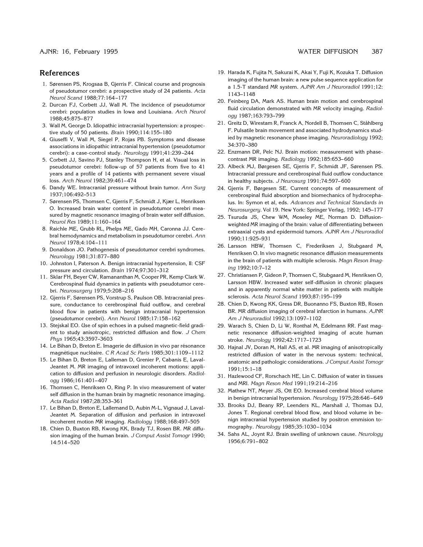## **References**

- 1. Sørensen PS, Krogsaa B, Gjerris F. Clinical course and prognosis of pseudotumor cerebri: a prospective study of 24 patients. *Acta Neurol Scand* 1988;77:164 –177
- 2. Durcan FJ, Corbett JJ, Wall M. The incidence of pseudotumor cerebri: population studies in Iowa and Louisiana. *Arch Neurol* 1988;45:875– 877
- 3. Wall M, George D. Idiopathic intracranial hypertension: a prospective study of 50 patients. *Brain* 1990;114:155–180
- 4. Giuseffi V, Wall M, Siegel P, Rojas PB. Symptoms and disease associations in idiopathic intracranial hypertension (pseudotumor cerebri): a case-control study. *Neurology* 1991;41:239 –244
- 5. Corbett JJ, Savino PJ, Stanley Thompson H, et al. Visual loss in pseudotumor cerebri: follow-up of 57 patients from five to 41 years and a profile of 14 patients with permanent severe visual loss. *Arch Neurol* 1982;39:461– 474
- 6. Dandy WE. Intracranial pressure without brain tumor. *Ann Surg* 1937;106:492–513
- 7. Sørensen PS, Thomsen C, Gjerris F, Schmidt J, Kjær L, Henriksen O. Increased brain water content in pseudotumor cerebri measured by magnetic resonance imaging of brain water self diffusion. *Neurol Res* 1989;11:160 –164
- 8. Raichle ME, Grubb RL, Phelps ME, Gado MH, Caronna JJ. Cerebral hemodynamics and metabolism in pseudotumor cerebri. *Ann Neurol* 1978;4:104 –111
- 9. Donaldson JO. Pathogenesis of pseudotumor cerebri syndromes. *Neurology* 1981;31:877– 880
- 10. Johnston I, Paterson A. Benign intracranial hypertension, II: CSF pressure and circulation. *Brain* 1974;97:301–312
- 11. Sklar FH, Beyer CW, Ramananthan M, Cooper PR, Kemp Clark W. Cerebrospinal fluid dynamics in patients with pseudotumor cerebri. *Neurosurgery* 1979;5:208 –216
- 12. Gjerris F, Sørensen PS, Vorstrup S, Paulson OB. Intracranial pressure, conductance to cerebrospinal fluid outflow, and cerebral blood flow in patients with benign intracranial hypertension (pseudotumor cerebri). *Ann Neurol* 1985;17:158 –162
- 13. Stejskal EO. Use of spin echoes in a pulsed magnetic-field gradient to study anisotropic, restricted diffusion and flow. *J Chem Phys* 1965;43:3597–3603
- 14. Le Bihan D, Breton E. Imagerie de diffusion in vivo par résonance magnétique nucléaire. *C R Acad Sc Paris* 1985;301:1109-1112
- 15. Le Bihan D, Breton E, Lalleman D, Grenier P, Cabanis E, Laval-Jeantet M. MR imaging of intravoxel incoherent motions: application to diffusion and perfusion in neurologic disorders. *Radiology* 1986;161:401– 407
- 16. Thomsen C, Henriksen O, Ring P. In vivo measurement of water self diffusion in the human brain by magnetic resonance imaging. *Acta Radiol* 1987;28:353–361
- 17. Le Bihan D, Breton E, Lallemand D, Aubin M-L, Vignaud J, Laval-Jeantet M. Separation of diffusion and perfusion in intravoxel incoherent motion MR imaging. *Radiology* 1988;168:497–505
- 18. Chien D, Buxton RB, Kwong KK, Brady TJ, Rosen BR. MR diffusion imaging of the human brain. *J Comput Assist Tomogr* 1990; 14:514 –520
- 19. Harada K, Fujita N, Sakurai K, Akai Y, Fuji K, Kozuka T. Diffusion imaging of the human brain: a new pulse sequence application for a 1.5-T standard MR system. *AJNR Am J Neuroradiol* 1991;12: 1143–1148
- 20. Feinberg DA, Mark AS. Human brain motion and cerebrospinal fluid circulation demonstrated with MR velocity imaging. *Radiology* 1987;163:793–799
- 21. Greitz D, Wirestam R, Franck A, Nordell B, Thomsen C, Ståhlberg F. Pulsatile brain movement and associated hydrodynamics studied by magnetic resonance phase imaging. *Neuroradiology* 1992; 34:370 –380
- 22. Enzmann DR, Pelc NJ. Brain motion: measurement with phasecontrast MR imaging. *Radiology* 1992;185:653– 660
- 23. Albeck MJ, Børgesen SE, Gjerris F, Schmidt JF, Sørensen PS. Intracranial pressure and cerebrospinal fluid outflow conductance in healthy subjects. *J Neurosurg* 1991;74:597– 600
- 24. Gjerris F, Børgesen SE. Current concepts of measurement of cerebrospinal fluid absorption and biomechanics of hydrocephalus. In: Symon et al, eds. *Advances and Technical Standards in Neurosurgery.* Vol 19. New York: Springer Verlag, 1992; 145–177
- 25. Tsuruda JS, Chew WM, Moseley ME, Norman D. Diffusionweighted MR imaging of the brain: value of differentiating between extraaxial cysts and epidermoid tumors. *AJNR Am J Neuroradiol* 1990;11:925–931
- 26. Larsson HBW, Thomsen C, Frederiksen J, Stubgaard M, Henriksen O. In vivo magnetic resonance diffusion measurements in the brain of patients with multiple sclerosis. *Magn Reson Imaging* 1992;10:7–12
- 27. Christiansen P, Gideon P, Thomsen C, Stubgaard M, Henriksen O, Larsson HBW. Increased water self-diffusion in chronic plaques and in apparently normal white matter in patients with multiple sclerosis. *Acta Neurol Scand* 1993;87:195–199
- 28. Chien D, Kwong KK, Gress DR, Buonanno FS, Buxton RB, Rosen BR. MR diffusion imaging of cerebral infarction in humans. *AJNR Am J Neuroradiol* 1992;13:1097–1102
- 29. Warach S, Chien D, Li W, Ronthal M, Edelmann RR. Fast magnetic resonance diffusion-weighted imaging of acute human stroke. *Neurology* 1992;42:1717–1723
- 30. Hajnal JV, Doran M, Hall AS, et al. MR imaging of anisotropically restricted diffusion of water in the nervous system: technical, anatomic and pathologic considerations. *J Comput Assist Tomogr* 1991;15:1–18
- 31. Hazlewood CF, Rorschach HE, Lin C. Diffusion of water in tissues and MRI. *Magn Reson Med* 1991;19:214 –216
- 32. Mathew NT, Meyer JS, Ott EO. Increased cerebral blood volume in benign intracranial hypertension. *Neurology* 1975;28:646 – 649
- 33. Brooks DJ, Beany RP, Leenders KL, Marshall J, Thomas DJ, Jones T. Regional cerebral blood flow, and blood volume in benign intracranial hypertension studied by positron emmision tomography. *Neurology* 1985;35:1030 –1034
- 34. Sahs AL, Joynt RJ. Brain swelling of unknown cause. *Neurology* 1956;6:791– 802

#### AJNR: 16, February 1995 WATER DIFFUSION 387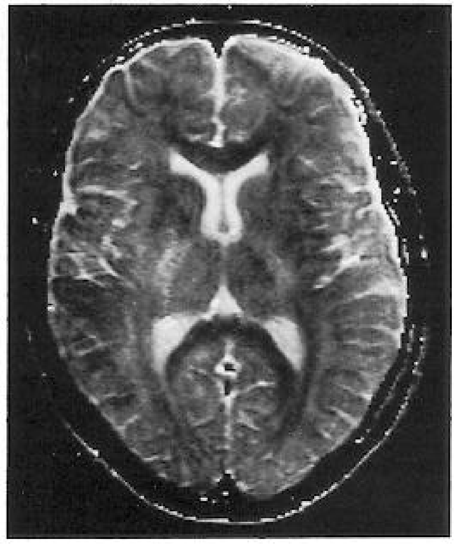